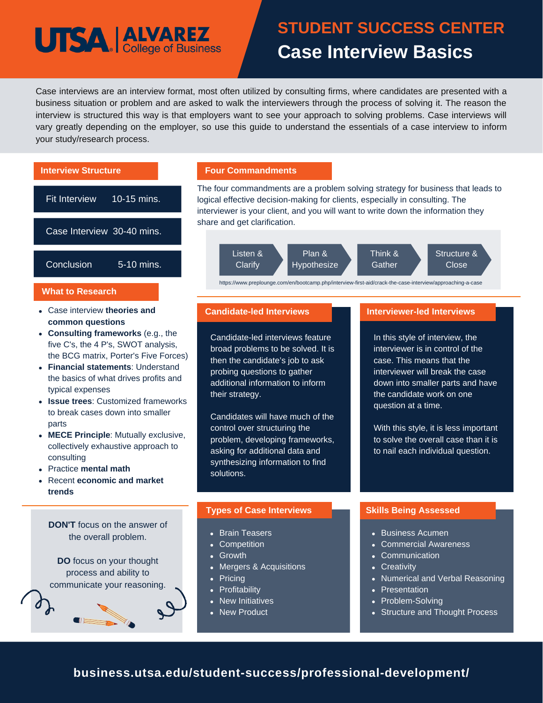## **UTSA ALVAREZ**

## **STUDENT SUCCESS CENTER Case Interview Basics**

Case interviews are an interview format, most often utilized by consulting firms, where candidates are presented with a business situation or problem and are asked to walk the interviewers through the process of solving it. The reason the interview is structured this way is that employers want to see your approach to solving problems. Case interviews will vary greatly depending on the employer, so use this guide to understand the essentials of a case interview to inform your study/research process.



### **business.utsa.edu/student-success/professional-development/**